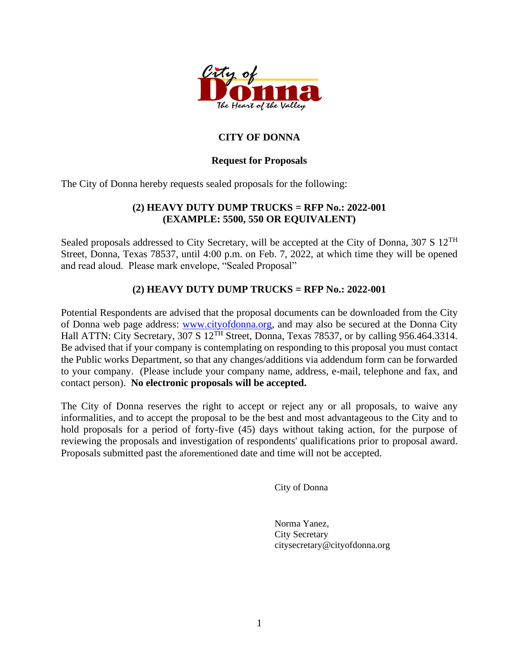

# **CITY OF DONNA**

### **Request for Proposals**

The City of Donna hereby requests sealed proposals for the following:

### **(2) HEAVY DUTY DUMP TRUCKS = RFP No.: 2022-001 (EXAMPLE: 5500, 550 OR EQUIVALENT)**

Sealed proposals addressed to City Secretary, will be accepted at the City of Donna, 307 S 12<sup>TH</sup> Street, Donna, Texas 78537, until 4:00 p.m. on Feb. 7, 2022, at which time they will be opened and read aloud. Please mark envelope, "Sealed Proposal"

## **(2) HEAVY DUTY DUMP TRUCKS = RFP No.: 2022-001**

Potential Respondents are advised that the proposal documents can be downloaded from the City of Donna web page address: [www.cityofdonna.org,](http://www.cityofdonna.org/) and may also be secured at the Donna City Hall ATTN: City Secretary,  $3\overline{07}$  S  $12$ <sup>TH</sup> Street, Donna, Texas 78537, or by calling 956.464.3314. Be advised that if your company is contemplating on responding to this proposal you must contact the Public works Department, so that any changes/additions via addendum form can be forwarded to your company. (Please include your company name, address, e-mail, telephone and fax, and contact person). **No electronic proposals will be accepted.**

The City of Donna reserves the right to accept or reject any or all proposals, to waive any informalities, and to accept the proposal to be the best and most advantageous to the City and to hold proposals for a period of forty-five (45) days without taking action, for the purpose of reviewing the proposals and investigation of respondents' qualifications prior to proposal award. Proposals submitted past the aforementioned date and time will not be accepted.

City of Donna

Norma Yanez, City Secretary citysecretary@cityofdonna.org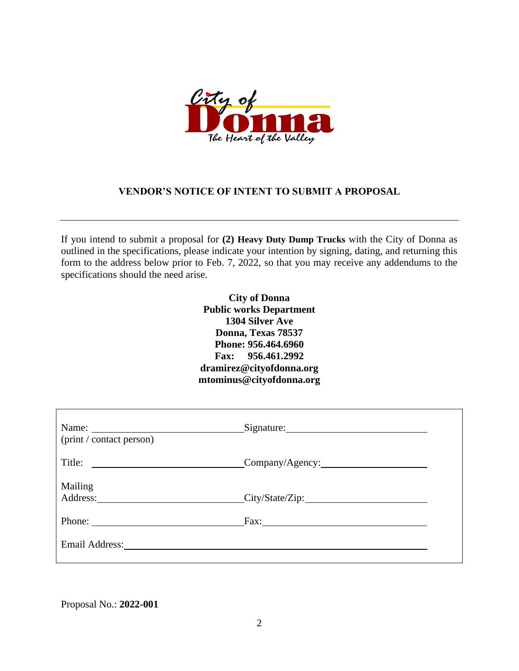

### **VENDOR'S NOTICE OF INTENT TO SUBMIT A PROPOSAL**

If you intend to submit a proposal for **(2) Heavy Duty Dump Trucks** with the City of Donna as outlined in the specifications, please indicate your intention by signing, dating, and returning this form to the address below prior to Feb. 7, 2022, so that you may receive any addendums to the specifications should the need arise.

> **City of Donna Public works Department 1304 Silver Ave Donna, Texas 78537 Phone: 956.464.6960 Fax: 956.461.2992 dramirez@cityofdonna.org mtominus@cityofdonna.org**

| Name: $\frac{1}{\sqrt{1-\frac{1}{2}}\sqrt{1-\frac{1}{2}}\sqrt{1-\frac{1}{2}}\sqrt{1-\frac{1}{2}}\sqrt{1-\frac{1}{2}}\sqrt{1-\frac{1}{2}}\sqrt{1-\frac{1}{2}}\sqrt{1-\frac{1}{2}}\sqrt{1-\frac{1}{2}}\sqrt{1-\frac{1}{2}}\sqrt{1-\frac{1}{2}}\sqrt{1-\frac{1}{2}}\sqrt{1-\frac{1}{2}}\sqrt{1-\frac{1}{2}}\sqrt{1-\frac{1}{2}}\sqrt{1-\frac{1}{2}}\sqrt{1-\frac{1}{2}}\sqrt{1-\frac{1}{2}}\sqrt{1-\frac{1}{2}}$<br>(print / contact person) | Signature:               |
|-------------------------------------------------------------------------------------------------------------------------------------------------------------------------------------------------------------------------------------------------------------------------------------------------------------------------------------------------------------------------------------------------------------------------------------------|--------------------------|
|                                                                                                                                                                                                                                                                                                                                                                                                                                           | $\text{Company/Agency:}$ |
| Mailing                                                                                                                                                                                                                                                                                                                                                                                                                                   | Address: City/State/Zip: |
| Phone:                                                                                                                                                                                                                                                                                                                                                                                                                                    | Fax:                     |
|                                                                                                                                                                                                                                                                                                                                                                                                                                           |                          |

Proposal No.: **2022-001**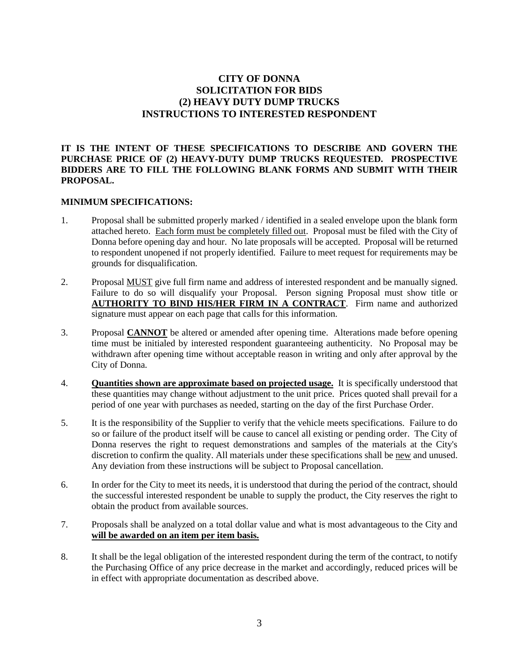### **CITY OF DONNA SOLICITATION FOR BIDS (2) HEAVY DUTY DUMP TRUCKS INSTRUCTIONS TO INTERESTED RESPONDENT**

#### **IT IS THE INTENT OF THESE SPECIFICATIONS TO DESCRIBE AND GOVERN THE PURCHASE PRICE OF (2) HEAVY-DUTY DUMP TRUCKS REQUESTED. PROSPECTIVE BIDDERS ARE TO FILL THE FOLLOWING BLANK FORMS AND SUBMIT WITH THEIR PROPOSAL.**

#### **MINIMUM SPECIFICATIONS:**

- 1. Proposal shall be submitted properly marked / identified in a sealed envelope upon the blank form attached hereto. Each form must be completely filled out. Proposal must be filed with the City of Donna before opening day and hour. No late proposals will be accepted. Proposal will be returned to respondent unopened if not properly identified. Failure to meet request for requirements may be grounds for disqualification.
- 2. Proposal MUST give full firm name and address of interested respondent and be manually signed. Failure to do so will disqualify your Proposal. Person signing Proposal must show title or **AUTHORITY TO BIND HIS/HER FIRM IN A CONTRACT**. Firm name and authorized signature must appear on each page that calls for this information.
- 3. Proposal **CANNOT** be altered or amended after opening time. Alterations made before opening time must be initialed by interested respondent guaranteeing authenticity. No Proposal may be withdrawn after opening time without acceptable reason in writing and only after approval by the City of Donna.
- 4. **Quantities shown are approximate based on projected usage.** It is specifically understood that these quantities may change without adjustment to the unit price. Prices quoted shall prevail for a period of one year with purchases as needed, starting on the day of the first Purchase Order.
- 5. It is the responsibility of the Supplier to verify that the vehicle meets specifications. Failure to do so or failure of the product itself will be cause to cancel all existing or pending order. The City of Donna reserves the right to request demonstrations and samples of the materials at the City's discretion to confirm the quality. All materials under these specifications shall be new and unused. Any deviation from these instructions will be subject to Proposal cancellation.
- 6. In order for the City to meet its needs, it is understood that during the period of the contract, should the successful interested respondent be unable to supply the product, the City reserves the right to obtain the product from available sources.
- 7. Proposals shall be analyzed on a total dollar value and what is most advantageous to the City and **will be awarded on an item per item basis.**
- 8. It shall be the legal obligation of the interested respondent during the term of the contract, to notify the Purchasing Office of any price decrease in the market and accordingly, reduced prices will be in effect with appropriate documentation as described above.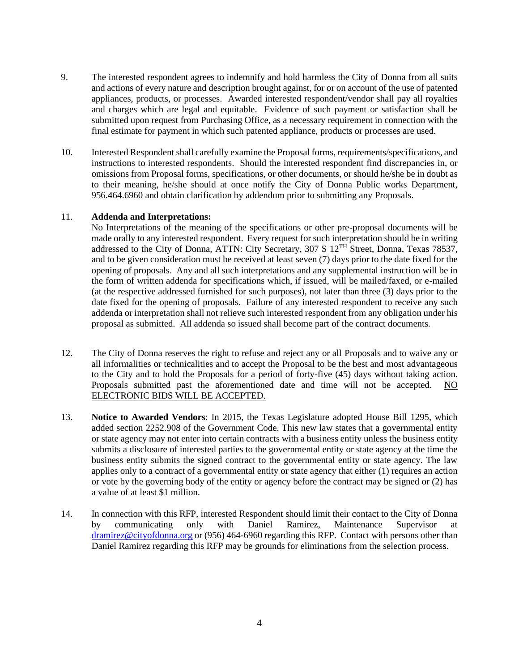- 9. The interested respondent agrees to indemnify and hold harmless the City of Donna from all suits and actions of every nature and description brought against, for or on account of the use of patented appliances, products, or processes. Awarded interested respondent/vendor shall pay all royalties and charges which are legal and equitable. Evidence of such payment or satisfaction shall be submitted upon request from Purchasing Office, as a necessary requirement in connection with the final estimate for payment in which such patented appliance, products or processes are used.
- 10. Interested Respondent shall carefully examine the Proposal forms, requirements/specifications, and instructions to interested respondents. Should the interested respondent find discrepancies in, or omissions from Proposal forms, specifications, or other documents, or should he/she be in doubt as to their meaning, he/she should at once notify the City of Donna Public works Department, 956.464.6960 and obtain clarification by addendum prior to submitting any Proposals.

#### 11. **Addenda and Interpretations:**

No Interpretations of the meaning of the specifications or other pre-proposal documents will be made orally to any interested respondent. Every request for such interpretation should be in writing addressed to the City of Donna, ATTN: City Secretary, 307 S 12<sup>TH</sup> Street, Donna, Texas 78537, and to be given consideration must be received at least seven (7) days prior to the date fixed for the opening of proposals. Any and all such interpretations and any supplemental instruction will be in the form of written addenda for specifications which, if issued, will be mailed/faxed, or e-mailed (at the respective addressed furnished for such purposes), not later than three (3) days prior to the date fixed for the opening of proposals. Failure of any interested respondent to receive any such addenda or interpretation shall not relieve such interested respondent from any obligation under his proposal as submitted. All addenda so issued shall become part of the contract documents.

- 12. The City of Donna reserves the right to refuse and reject any or all Proposals and to waive any or all informalities or technicalities and to accept the Proposal to be the best and most advantageous to the City and to hold the Proposals for a period of forty-five (45) days without taking action. Proposals submitted past the aforementioned date and time will not be accepted. NO ELECTRONIC BIDS WILL BE ACCEPTED.
- 13. **Notice to Awarded Vendors**: In 2015, the Texas Legislature adopted House Bill 1295, which added section 2252.908 of the Government Code. This new law states that a governmental entity or state agency may not enter into certain contracts with a business entity unless the business entity submits a disclosure of interested parties to the governmental entity or state agency at the time the business entity submits the signed contract to the governmental entity or state agency. The law applies only to a contract of a governmental entity or state agency that either (1) requires an action or vote by the governing body of the entity or agency before the contract may be signed or (2) has a value of at least \$1 million.
- 14. In connection with this RFP, interested Respondent should limit their contact to the City of Donna by communicating only with Daniel Ramirez, Maintenance Supervisor at [dramirez@cityofdonna.org](mailto:dramirez@cityofdonna.org) or (956) 464-6960 regarding this RFP. Contact with persons other than Daniel Ramirez regarding this RFP may be grounds for eliminations from the selection process.